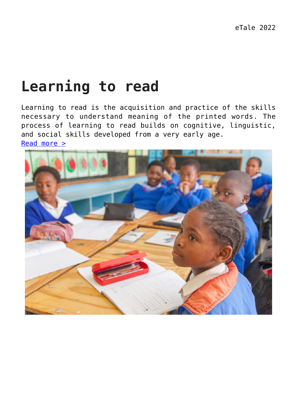#### **Learning to read**

Learning to read is the acquisition and practice of the skills necessary to understand meaning of the printed words. The process of learning to read builds on cognitive, linguistic, and social skills developed from a very early age. [Read more >](https://dev.taleafrica.com/reading-difficulties/about-reading-difficulties/)

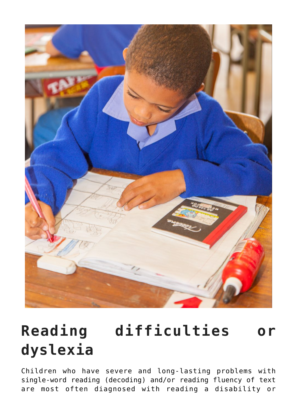

# **Reading difficulties or dyslexia**

Children who have severe and long-lasting problems with single-word reading (decoding) and/or reading fluency of text are most often diagnosed with reading a disability or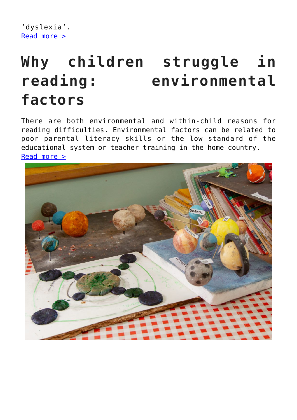```
'dyslexia'.
Read more >
```
## **Why children struggle in reading: environmental factors**

There are both environmental and within-child reasons for reading difficulties. Environmental factors can be related to poor parental literacy skills or the low standard of the educational system or teacher training in the home country. [Read more >](https://dev.taleafrica.com/reading-difficulties/environmental-factors/)

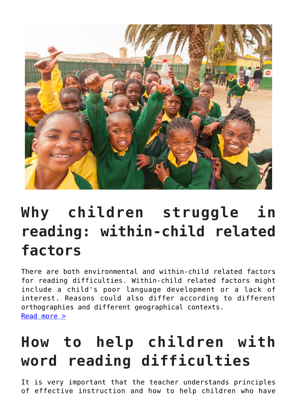

## **Why children struggle in reading: within-child related factors**

There are both environmental and within-child related factors for reading difficulties. Within-child related factors might include a child's poor language development or a lack of interest. Reasons could also differ according to different orthographies and different geographical contexts. [Read more >](https://dev.taleafrica.com/reading-difficulties/child-related-factors/)

## **How to help children with word reading difficulties**

It is very important that the teacher understands principles of effective instruction and how to help children who have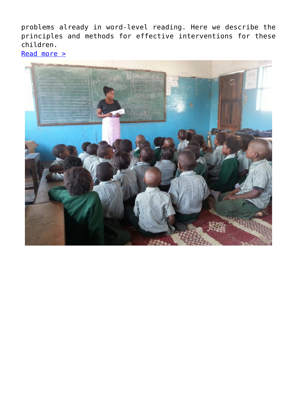problems already in word-level reading. Here we describe the principles and methods for effective interventions for these children.

[Read more >](https://dev.taleafrica.com/reading-difficulties/how-to-help-children-with-word-reading-difficulties/)